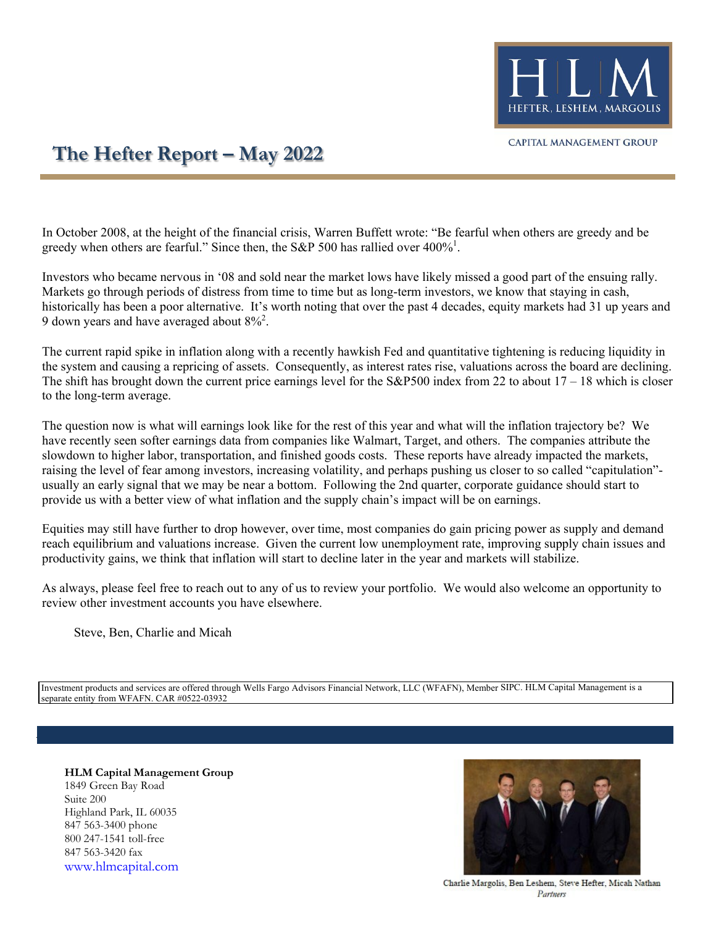

## **The Hefter Report – May 2022**

In October 2008, at the height of the financial crisis, Warren Buffett wrote: "Be fearful when others are greedy and be greedy when others are fearful." Since then, the S&P 500 has rallied over  $400\%$ <sup>1</sup>.

Investors who became nervous in '08 and sold near the market lows have likely missed a good part of the ensuing rally. Markets go through periods of distress from time to time but as long-term investors, we know that staying in cash, historically has been a poor alternative. It's worth noting that over the past 4 decades, equity markets had 31 up years and 9 down years and have averaged about  $8\%^2$ .

The current rapid spike in inflation along with a recently hawkish Fed and quantitative tightening is reducing liquidity in the system and causing a repricing of assets. Consequently, as interest rates rise, valuations across the board are declining. The shift has brought down the current price earnings level for the  $S\&P500$  index from 22 to about  $17 - 18$  which is closer to the long-term average.

The question now is what will earnings look like for the rest of this year and what will the inflation trajectory be? We have recently seen softer earnings data from companies like Walmart, Target, and others. The companies attribute the slowdown to higher labor, transportation, and finished goods costs. These reports have already impacted the markets, raising the level of fear among investors, increasing volatility, and perhaps pushing us closer to so called "capitulation" usually an early signal that we may be near a bottom. Following the 2nd quarter, corporate guidance should start to provide us with a better view of what inflation and the supply chain's impact will be on earnings.

Equities may still have further to drop however, over time, most companies do gain pricing power as supply and demand reach equilibrium and valuations increase. Given the current low unemployment rate, improving supply chain issues and productivity gains, we think that inflation will start to decline later in the year and markets will stabilize.

As always, please feel free to reach out to any of us to review your portfolio. We would also welcome an opportunity to review other investment accounts you have elsewhere.

Steve, Ben, Charlie and Micah

Investment products and services are offered through Wells Fargo Advisors Financial Network, LLC (WFAFN), Member SIPC. HLM Capital Management is a separate entity from WFAFN. CAR #0522-03932

**HLM Capital Management Group** 1849 Green Bay Road Suite 200 Highland Park, IL 60035 847 563-3400 phone 800 247-1541 toll-free 847 563-3420 fax [www.hlmcapital.com](http://www.hlmcapital.com/)



Charlie Margolis, Ben Leshem, Steve Hefter, Micah Nathan Partners